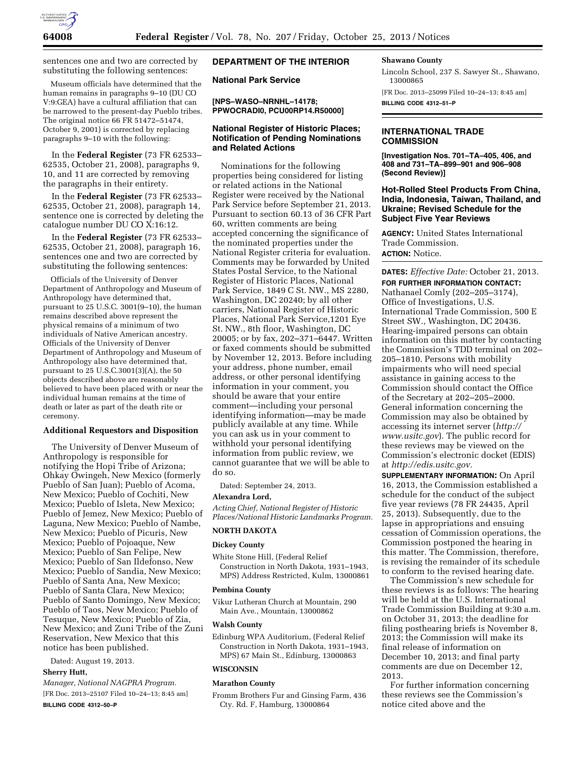

sentences one and two are corrected by substituting the following sentences:

Museum officials have determined that the human remains in paragraphs 9–10 (DU CO V:9:GEA) have a cultural affiliation that can be narrowed to the present-day Pueblo tribes. The original notice 66 FR 51472–51474, October 9, 2001) is corrected by replacing paragraphs 9–10 with the following:

In the **Federal Register** (73 FR 62533– 62535, October 21, 2008), paragraphs 9, 10, and 11 are corrected by removing the paragraphs in their entirety.

In the **Federal Register** (73 FR 62533– 62535, October 21, 2008), paragraph 14, sentence one is corrected by deleting the catalogue number DU CO X:16:12.

In the **Federal Register** (73 FR 62533– 62535, October 21, 2008), paragraph 16, sentences one and two are corrected by substituting the following sentences:

Officials of the University of Denver Department of Anthropology and Museum of Anthropology have determined that, pursuant to 25 U.S.C. 3001(9–10), the human remains described above represent the physical remains of a minimum of two individuals of Native American ancestry. Officials of the University of Denver Department of Anthropology and Museum of Anthropology also have determined that, pursuant to 25 U.S.C.3001(3)(A), the 50 objects described above are reasonably believed to have been placed with or near the individual human remains at the time of death or later as part of the death rite or ceremony.

#### **Additional Requestors and Disposition**

The University of Denver Museum of Anthropology is responsible for notifying the Hopi Tribe of Arizona; Ohkay Owingeh, New Mexico (formerly Pueblo of San Juan); Pueblo of Acoma, New Mexico; Pueblo of Cochiti, New Mexico; Pueblo of Isleta, New Mexico; Pueblo of Jemez, New Mexico; Pueblo of Laguna, New Mexico; Pueblo of Nambe, New Mexico; Pueblo of Picuris, New Mexico; Pueblo of Pojoaque, New Mexico; Pueblo of San Felipe, New Mexico; Pueblo of San Ildefonso, New Mexico; Pueblo of Sandia, New Mexico; Pueblo of Santa Ana, New Mexico; Pueblo of Santa Clara, New Mexico; Pueblo of Santo Domingo, New Mexico; Pueblo of Taos, New Mexico; Pueblo of Tesuque, New Mexico; Pueblo of Zia, New Mexico; and Zuni Tribe of the Zuni Reservation, New Mexico that this notice has been published.

Dated: August 19, 2013.

# **Sherry Hutt,**

*Manager, National NAGPRA Program.*  [FR Doc. 2013–25107 Filed 10–24–13; 8:45 am] **BILLING CODE 4312–50–P** 

# **DEPARTMENT OF THE INTERIOR**

**National Park Service** 

**[NPS–WASO–NRNHL–14178; PPWOCRADI0, PCU00RP14.R50000]** 

# **National Register of Historic Places; Notification of Pending Nominations and Related Actions**

Nominations for the following properties being considered for listing or related actions in the National Register were received by the National Park Service before September 21, 2013. Pursuant to section 60.13 of 36 CFR Part 60, written comments are being accepted concerning the significance of the nominated properties under the National Register criteria for evaluation. Comments may be forwarded by United States Postal Service, to the National Register of Historic Places, National Park Service, 1849 C St. NW., MS 2280, Washington, DC 20240; by all other carriers, National Register of Historic Places, National Park Service,1201 Eye St. NW., 8th floor, Washington, DC 20005; or by fax, 202–371–6447. Written or faxed comments should be submitted by November 12, 2013. Before including your address, phone number, email address, or other personal identifying information in your comment, you should be aware that your entire comment—including your personal identifying information—may be made publicly available at any time. While you can ask us in your comment to withhold your personal identifying information from public review, we cannot guarantee that we will be able to do so.

Dated: September 24, 2013.

#### **Alexandra Lord,**

*Acting Chief, National Register of Historic Places/National Historic Landmarks Program.* 

# **NORTH DAKOTA**

#### **Dickey County**

White Stone Hill, (Federal Relief Construction in North Dakota, 1931–1943, MPS) Address Restricted, Kulm, 13000861

#### **Pembina County**

Vikur Lutheran Church at Mountain, 290 Main Ave., Mountain, 13000862

## **Walsh County**

Edinburg WPA Auditorium, (Federal Relief Construction in North Dakota, 1931–1943, MPS) 67 Main St., Edinburg, 13000863

### **WISCONSIN**

#### **Marathon County**

Fromm Brothers Fur and Ginsing Farm, 436 Cty. Rd. F, Hamburg, 13000864

# **Shawano County**

Lincoln School, 237 S. Sawyer St., Shawano, 13000865

[FR Doc. 2013–25099 Filed 10–24–13; 8:45 am] **BILLING CODE 4312–51–P** 

# **INTERNATIONAL TRADE COMMISSION**

**[Investigation Nos. 701–TA–405, 406, and 408 and 731–TA–899–901 and 906–908 (Second Review)]** 

# **Hot-Rolled Steel Products From China, India, Indonesia, Taiwan, Thailand, and Ukraine; Revised Schedule for the Subject Five Year Reviews**

**AGENCY:** United States International Trade Commission. **ACTION:** Notice.

**DATES:** *Effective Date:* October 21, 2013. **FOR FURTHER INFORMATION CONTACT:**  Nathanael Comly (202–205–3174), Office of Investigations, U.S. International Trade Commission, 500 E Street SW., Washington, DC 20436. Hearing-impaired persons can obtain information on this matter by contacting the Commission's TDD terminal on 202– 205–1810. Persons with mobility impairments who will need special assistance in gaining access to the Commission should contact the Office of the Secretary at 202–205–2000. General information concerning the Commission may also be obtained by accessing its internet server (*[http://](http://www.usitc.gov) [www.usitc.gov](http://www.usitc.gov)*). The public record for these reviews may be viewed on the Commission's electronic docket (EDIS) at *[http://edis.usitc.gov.](http://edis.usitc.gov)* 

**SUPPLEMENTARY INFORMATION:** On April 16, 2013, the Commission established a schedule for the conduct of the subject five year reviews (78 FR 24435, April 25, 2013). Subsequently, due to the lapse in appropriations and ensuing cessation of Commission operations, the Commission postponed the hearing in this matter. The Commission, therefore, is revising the remainder of its schedule to conform to the revised hearing date.

The Commission's new schedule for these reviews is as follows: The hearing will be held at the U.S. International Trade Commission Building at 9:30 a.m. on October 31, 2013; the deadline for filing posthearing briefs is November 8, 2013; the Commission will make its final release of information on December 10, 2013; and final party comments are due on December 12, 2013.

For further information concerning these reviews see the Commission's notice cited above and the